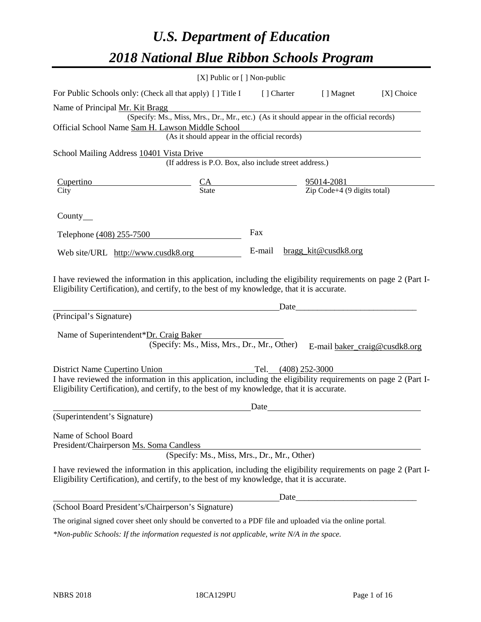# *U.S. Department of Education 2018 National Blue Ribbon Schools Program*

|                                                                                                                                                                                                              | [X] Public or [] Non-public                                                              |        |       |                               |            |
|--------------------------------------------------------------------------------------------------------------------------------------------------------------------------------------------------------------|------------------------------------------------------------------------------------------|--------|-------|-------------------------------|------------|
| For Public Schools only: (Check all that apply) [ ] Title I [ ] Charter                                                                                                                                      |                                                                                          |        |       | [ ] Magnet                    | [X] Choice |
| Name of Principal Mr. Kit Bragg                                                                                                                                                                              |                                                                                          |        |       |                               |            |
|                                                                                                                                                                                                              | (Specify: Ms., Miss, Mrs., Dr., Mr., etc.) (As it should appear in the official records) |        |       |                               |            |
| Official School Name Sam H. Lawson Middle School                                                                                                                                                             |                                                                                          |        |       |                               |            |
|                                                                                                                                                                                                              | (As it should appear in the official records)                                            |        |       |                               |            |
| School Mailing Address 10401 Vista Drive                                                                                                                                                                     |                                                                                          |        |       |                               |            |
|                                                                                                                                                                                                              | (If address is P.O. Box, also include street address.)                                   |        |       |                               |            |
| <b>Cupertino</b>                                                                                                                                                                                             | $\frac{CA}{State}$ $\frac{95014-2081}{Zip Code+4 (9 digits total)}$                      |        |       |                               |            |
| City                                                                                                                                                                                                         |                                                                                          |        |       |                               |            |
| County $\_\_$                                                                                                                                                                                                |                                                                                          |        |       |                               |            |
| Telephone (408) 255-7500                                                                                                                                                                                     |                                                                                          | Fax    |       |                               |            |
| Web site/URL http://www.cusdk8.org                                                                                                                                                                           |                                                                                          | E-mail |       | bragg_kit@cusdk8.org          |            |
| (Principal's Signature)<br>Name of Superintendent*Dr. Craig Baker                                                                                                                                            | (Specify: Ms., Miss, Mrs., Dr., Mr., Other)                                              |        | Date_ |                               |            |
|                                                                                                                                                                                                              |                                                                                          |        |       | E-mail baker_craig@cusdk8.org |            |
| District Name Cupertino Union                                                                                                                                                                                |                                                                                          |        |       | Tel. (408) 252-3000           |            |
| I have reviewed the information in this application, including the eligibility requirements on page 2 (Part I-<br>Eligibility Certification), and certify, to the best of my knowledge, that it is accurate. |                                                                                          |        |       |                               |            |
|                                                                                                                                                                                                              |                                                                                          | Date   |       |                               |            |
| (Superintendent's Signature)                                                                                                                                                                                 |                                                                                          |        |       |                               |            |
| Name of School Board<br>President/Chairperson Ms. Soma Candless                                                                                                                                              | (Specify: Ms., Miss, Mrs., Dr., Mr., Other)                                              |        |       |                               |            |
| I have reviewed the information in this application, including the eligibility requirements on page 2 (Part I-<br>Eligibility Certification), and certify, to the best of my knowledge, that it is accurate. |                                                                                          |        |       |                               |            |
|                                                                                                                                                                                                              |                                                                                          |        |       |                               |            |
| (School Board President's/Chairperson's Signature)                                                                                                                                                           |                                                                                          |        |       |                               |            |
| The original signed cover sheet only should be converted to a PDF file and uploaded via the online portal.                                                                                                   |                                                                                          |        |       |                               |            |

*\*Non-public Schools: If the information requested is not applicable, write N/A in the space.*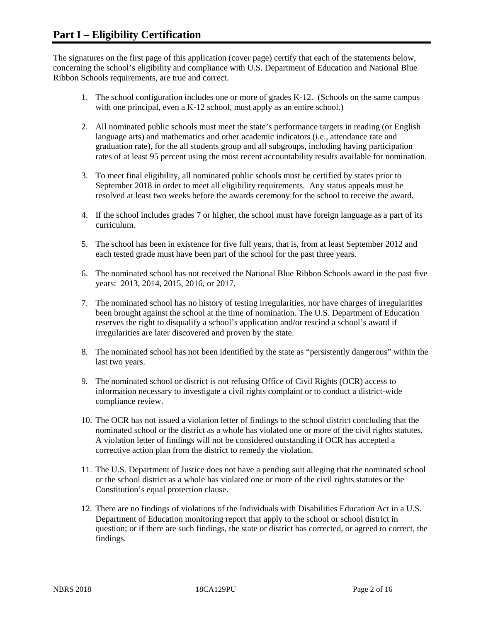The signatures on the first page of this application (cover page) certify that each of the statements below, concerning the school's eligibility and compliance with U.S. Department of Education and National Blue Ribbon Schools requirements, are true and correct.

- 1. The school configuration includes one or more of grades K-12. (Schools on the same campus with one principal, even a K-12 school, must apply as an entire school.)
- 2. All nominated public schools must meet the state's performance targets in reading (or English language arts) and mathematics and other academic indicators (i.e., attendance rate and graduation rate), for the all students group and all subgroups, including having participation rates of at least 95 percent using the most recent accountability results available for nomination.
- 3. To meet final eligibility, all nominated public schools must be certified by states prior to September 2018 in order to meet all eligibility requirements. Any status appeals must be resolved at least two weeks before the awards ceremony for the school to receive the award.
- 4. If the school includes grades 7 or higher, the school must have foreign language as a part of its curriculum.
- 5. The school has been in existence for five full years, that is, from at least September 2012 and each tested grade must have been part of the school for the past three years.
- 6. The nominated school has not received the National Blue Ribbon Schools award in the past five years: 2013, 2014, 2015, 2016, or 2017.
- 7. The nominated school has no history of testing irregularities, nor have charges of irregularities been brought against the school at the time of nomination. The U.S. Department of Education reserves the right to disqualify a school's application and/or rescind a school's award if irregularities are later discovered and proven by the state.
- 8. The nominated school has not been identified by the state as "persistently dangerous" within the last two years.
- 9. The nominated school or district is not refusing Office of Civil Rights (OCR) access to information necessary to investigate a civil rights complaint or to conduct a district-wide compliance review.
- 10. The OCR has not issued a violation letter of findings to the school district concluding that the nominated school or the district as a whole has violated one or more of the civil rights statutes. A violation letter of findings will not be considered outstanding if OCR has accepted a corrective action plan from the district to remedy the violation.
- 11. The U.S. Department of Justice does not have a pending suit alleging that the nominated school or the school district as a whole has violated one or more of the civil rights statutes or the Constitution's equal protection clause.
- 12. There are no findings of violations of the Individuals with Disabilities Education Act in a U.S. Department of Education monitoring report that apply to the school or school district in question; or if there are such findings, the state or district has corrected, or agreed to correct, the findings.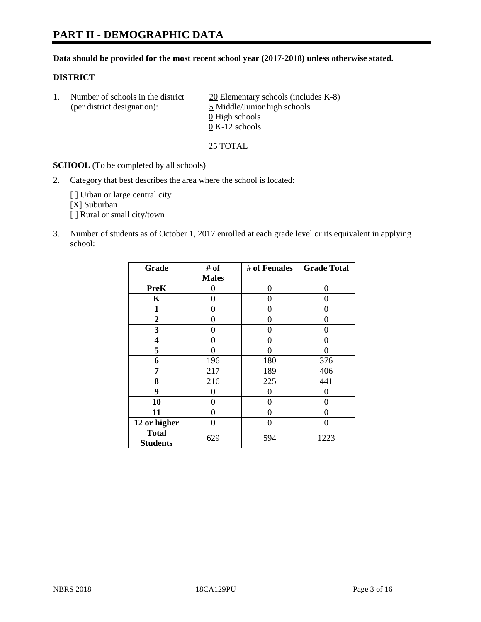# **PART II - DEMOGRAPHIC DATA**

#### **Data should be provided for the most recent school year (2017-2018) unless otherwise stated.**

#### **DISTRICT**

1. Number of schools in the district  $20$  Elementary schools (includes K-8) (per district designation): 5 Middle/Junior high schools  $\underline{0}$  High schools 0 K-12 schools

25 TOTAL

**SCHOOL** (To be completed by all schools)

2. Category that best describes the area where the school is located:

[] Urban or large central city [X] Suburban [] Rural or small city/town

3. Number of students as of October 1, 2017 enrolled at each grade level or its equivalent in applying school:

| Grade                           | # of         | # of Females | <b>Grade Total</b> |
|---------------------------------|--------------|--------------|--------------------|
|                                 | <b>Males</b> |              |                    |
| <b>PreK</b>                     | 0            | 0            | 0                  |
| K                               | 0            | 0            | 0                  |
| 1                               | 0            | 0            | 0                  |
| $\overline{2}$                  | 0            | 0            | 0                  |
| 3                               | 0            | 0            | $\mathbf{\Omega}$  |
| 4                               | 0            | 0            | $\mathbf{\Omega}$  |
| 5                               | 0            | 0            | 0                  |
| 6                               | 196          | 180          | 376                |
| 7                               | 217          | 189          | 406                |
| 8                               | 216          | 225          | 441                |
| 9                               | 0            | 0            | 0                  |
| 10                              | 0            | 0            | 0                  |
| 11                              | 0            | 0            | 0                  |
| 12 or higher                    | 0            | $\Omega$     | 0                  |
| <b>Total</b><br><b>Students</b> | 629          | 594          | 1223               |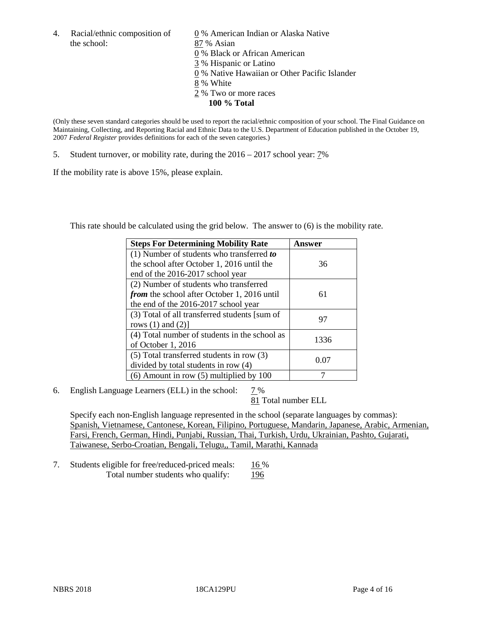the school: 87 % Asian

4. Racial/ethnic composition of  $\qquad \qquad \underline{0}$  % American Indian or Alaska Native 0 % Black or African American 3 % Hispanic or Latino 0 % Native Hawaiian or Other Pacific Islander 8 % White

- 2 % Two or more races
	- **100 % Total**

(Only these seven standard categories should be used to report the racial/ethnic composition of your school. The Final Guidance on Maintaining, Collecting, and Reporting Racial and Ethnic Data to the U.S. Department of Education published in the October 19, 2007 *Federal Register* provides definitions for each of the seven categories.)

5. Student turnover, or mobility rate, during the 2016 – 2017 school year: 7%

If the mobility rate is above 15%, please explain.

This rate should be calculated using the grid below. The answer to (6) is the mobility rate.

| <b>Steps For Determining Mobility Rate</b>         | Answer |
|----------------------------------------------------|--------|
| (1) Number of students who transferred to          |        |
| the school after October 1, 2016 until the         | 36     |
| end of the 2016-2017 school year                   |        |
| (2) Number of students who transferred             |        |
| <i>from</i> the school after October 1, 2016 until | 61     |
| the end of the 2016-2017 school year               |        |
| (3) Total of all transferred students [sum of      | 97     |
| rows $(1)$ and $(2)$ ]                             |        |
| (4) Total number of students in the school as      |        |
| of October 1, 2016                                 | 1336   |
| (5) Total transferred students in row (3)          | 0.07   |
| divided by total students in row (4)               |        |
| $(6)$ Amount in row $(5)$ multiplied by 100        |        |

6. English Language Learners (ELL) in the school:  $7\%$ 

81 Total number ELL

Specify each non-English language represented in the school (separate languages by commas): Spanish, Vietnamese, Cantonese, Korean, Filipino, Portuguese, Mandarin, Japanese, Arabic, Armenian, Farsi, French, German, Hindi, Punjabi, Russian, Thai, Turkish, Urdu, Ukrainian, Pashto, Gujarati, Taiwanese, Serbo-Croatian, Bengali, Telugu,, Tamil, Marathi, Kannada

7. Students eligible for free/reduced-priced meals: 16 % Total number students who qualify: 196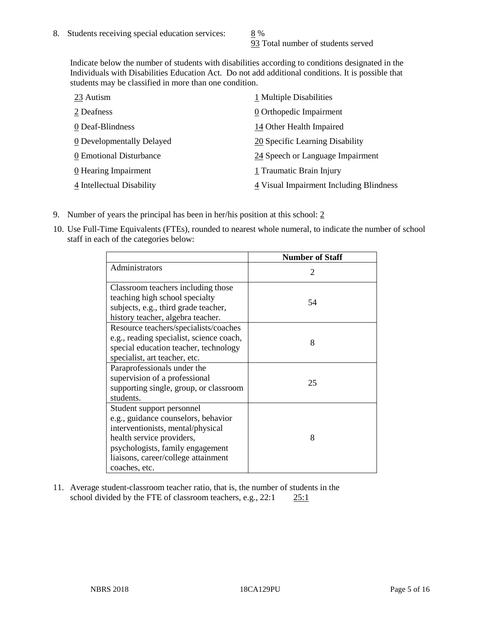93 Total number of students served

Indicate below the number of students with disabilities according to conditions designated in the Individuals with Disabilities Education Act. Do not add additional conditions. It is possible that students may be classified in more than one condition.

| 23 Autism                 | 1 Multiple Disabilities                 |
|---------------------------|-----------------------------------------|
| 2 Deafness                | 0 Orthopedic Impairment                 |
| 0 Deaf-Blindness          | 14 Other Health Impaired                |
| 0 Developmentally Delayed | 20 Specific Learning Disability         |
| 0 Emotional Disturbance   | 24 Speech or Language Impairment        |
| 0 Hearing Impairment      | 1 Traumatic Brain Injury                |
| 4 Intellectual Disability | 4 Visual Impairment Including Blindness |

- 9. Number of years the principal has been in her/his position at this school:  $2$
- 10. Use Full-Time Equivalents (FTEs), rounded to nearest whole numeral, to indicate the number of school staff in each of the categories below:

|                                                                                                                                                                                                                                | <b>Number of Staff</b>      |
|--------------------------------------------------------------------------------------------------------------------------------------------------------------------------------------------------------------------------------|-----------------------------|
| Administrators                                                                                                                                                                                                                 | $\mathcal{D}_{\mathcal{L}}$ |
| Classroom teachers including those<br>teaching high school specialty<br>subjects, e.g., third grade teacher,<br>history teacher, algebra teacher.                                                                              | 54                          |
| Resource teachers/specialists/coaches<br>e.g., reading specialist, science coach,<br>special education teacher, technology<br>specialist, art teacher, etc.                                                                    | 8                           |
| Paraprofessionals under the<br>supervision of a professional<br>supporting single, group, or classroom<br>students.                                                                                                            | 25                          |
| Student support personnel<br>e.g., guidance counselors, behavior<br>interventionists, mental/physical<br>health service providers,<br>psychologists, family engagement<br>liaisons, career/college attainment<br>coaches, etc. | 8                           |

11. Average student-classroom teacher ratio, that is, the number of students in the school divided by the FTE of classroom teachers, e.g., 22:1 25:1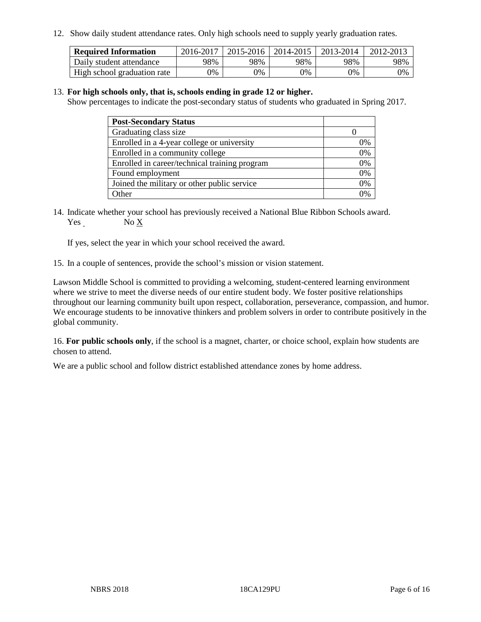12. Show daily student attendance rates. Only high schools need to supply yearly graduation rates.

| <b>Required Information</b> | 2016-2017 | 2015-2016 | 2014-2015 | 2013-2014 | 2012-2013 |
|-----------------------------|-----------|-----------|-----------|-----------|-----------|
| Daily student attendance    | 98%       | 98%       | 98%       | 98%       | 98%       |
| High school graduation rate | 0%        | 0%        | 0%        | 9%        | 0%        |

#### 13. **For high schools only, that is, schools ending in grade 12 or higher.**

Show percentages to indicate the post-secondary status of students who graduated in Spring 2017.

| <b>Post-Secondary Status</b>                  |    |
|-----------------------------------------------|----|
| Graduating class size                         |    |
| Enrolled in a 4-year college or university    | 0% |
| Enrolled in a community college               | 0% |
| Enrolled in career/technical training program | 0% |
| Found employment                              | 0% |
| Joined the military or other public service   | 0% |
| Other                                         | ገ% |

14. Indicate whether your school has previously received a National Blue Ribbon Schools award. Yes No X

If yes, select the year in which your school received the award.

15. In a couple of sentences, provide the school's mission or vision statement.

Lawson Middle School is committed to providing a welcoming, student-centered learning environment where we strive to meet the diverse needs of our entire student body. We foster positive relationships throughout our learning community built upon respect, collaboration, perseverance, compassion, and humor. We encourage students to be innovative thinkers and problem solvers in order to contribute positively in the global community.

16. **For public schools only**, if the school is a magnet, charter, or choice school, explain how students are chosen to attend.

We are a public school and follow district established attendance zones by home address.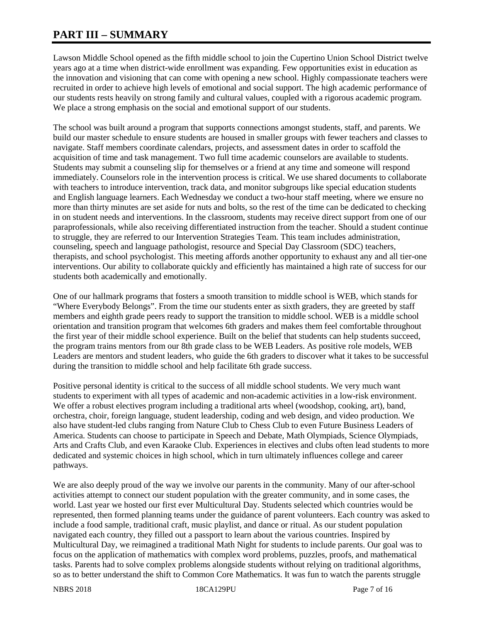# **PART III – SUMMARY**

Lawson Middle School opened as the fifth middle school to join the Cupertino Union School District twelve years ago at a time when district-wide enrollment was expanding. Few opportunities exist in education as the innovation and visioning that can come with opening a new school. Highly compassionate teachers were recruited in order to achieve high levels of emotional and social support. The high academic performance of our students rests heavily on strong family and cultural values, coupled with a rigorous academic program. We place a strong emphasis on the social and emotional support of our students.

The school was built around a program that supports connections amongst students, staff, and parents. We build our master schedule to ensure students are housed in smaller groups with fewer teachers and classes to navigate. Staff members coordinate calendars, projects, and assessment dates in order to scaffold the acquisition of time and task management. Two full time academic counselors are available to students. Students may submit a counseling slip for themselves or a friend at any time and someone will respond immediately. Counselors role in the intervention process is critical. We use shared documents to collaborate with teachers to introduce intervention, track data, and monitor subgroups like special education students and English language learners. Each Wednesday we conduct a two-hour staff meeting, where we ensure no more than thirty minutes are set aside for nuts and bolts, so the rest of the time can be dedicated to checking in on student needs and interventions. In the classroom, students may receive direct support from one of our paraprofessionals, while also receiving differentiated instruction from the teacher. Should a student continue to struggle, they are referred to our Intervention Strategies Team. This team includes administration, counseling, speech and language pathologist, resource and Special Day Classroom (SDC) teachers, therapists, and school psychologist. This meeting affords another opportunity to exhaust any and all tier-one interventions. Our ability to collaborate quickly and efficiently has maintained a high rate of success for our students both academically and emotionally.

One of our hallmark programs that fosters a smooth transition to middle school is WEB, which stands for "Where Everybody Belongs". From the time our students enter as sixth graders, they are greeted by staff members and eighth grade peers ready to support the transition to middle school. WEB is a middle school orientation and transition program that welcomes 6th graders and makes them feel comfortable throughout the first year of their middle school experience. Built on the belief that students can help students succeed, the program trains mentors from our 8th grade class to be WEB Leaders. As positive role models, WEB Leaders are mentors and student leaders, who guide the 6th graders to discover what it takes to be successful during the transition to middle school and help facilitate 6th grade success.

Positive personal identity is critical to the success of all middle school students. We very much want students to experiment with all types of academic and non-academic activities in a low-risk environment. We offer a robust electives program including a traditional arts wheel (woodshop, cooking, art), band, orchestra, choir, foreign language, student leadership, coding and web design, and video production. We also have student-led clubs ranging from Nature Club to Chess Club to even Future Business Leaders of America. Students can choose to participate in Speech and Debate, Math Olympiads, Science Olympiads, Arts and Crafts Club, and even Karaoke Club. Experiences in electives and clubs often lead students to more dedicated and systemic choices in high school, which in turn ultimately influences college and career pathways.

We are also deeply proud of the way we involve our parents in the community. Many of our after-school activities attempt to connect our student population with the greater community, and in some cases, the world. Last year we hosted our first ever Multicultural Day. Students selected which countries would be represented, then formed planning teams under the guidance of parent volunteers. Each country was asked to include a food sample, traditional craft, music playlist, and dance or ritual. As our student population navigated each country, they filled out a passport to learn about the various countries. Inspired by Multicultural Day, we reimagined a traditional Math Night for students to include parents. Our goal was to focus on the application of mathematics with complex word problems, puzzles, proofs, and mathematical tasks. Parents had to solve complex problems alongside students without relying on traditional algorithms, so as to better understand the shift to Common Core Mathematics. It was fun to watch the parents struggle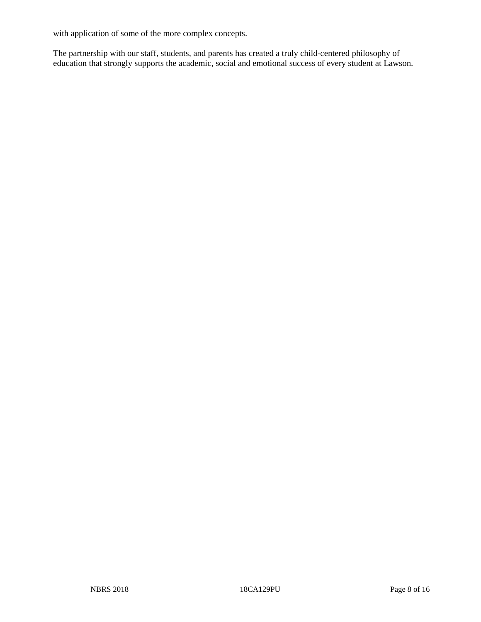with application of some of the more complex concepts.

The partnership with our staff, students, and parents has created a truly child-centered philosophy of education that strongly supports the academic, social and emotional success of every student at Lawson.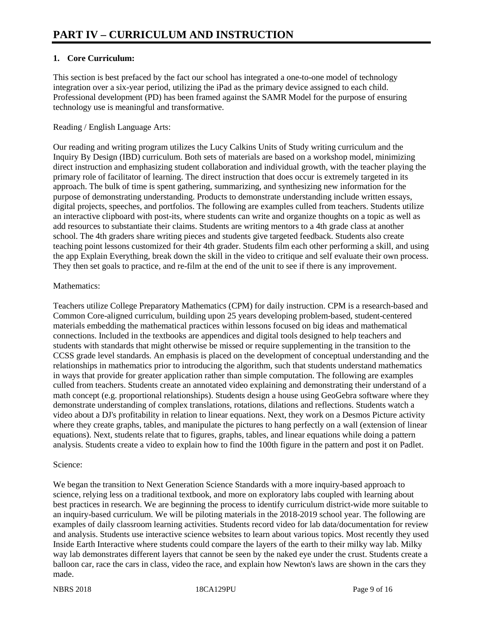# **1. Core Curriculum:**

This section is best prefaced by the fact our school has integrated a one-to-one model of technology integration over a six-year period, utilizing the iPad as the primary device assigned to each child. Professional development (PD) has been framed against the SAMR Model for the purpose of ensuring technology use is meaningful and transformative.

# Reading / English Language Arts:

Our reading and writing program utilizes the Lucy Calkins Units of Study writing curriculum and the Inquiry By Design (IBD) curriculum. Both sets of materials are based on a workshop model, minimizing direct instruction and emphasizing student collaboration and individual growth, with the teacher playing the primary role of facilitator of learning. The direct instruction that does occur is extremely targeted in its approach. The bulk of time is spent gathering, summarizing, and synthesizing new information for the purpose of demonstrating understanding. Products to demonstrate understanding include written essays, digital projects, speeches, and portfolios. The following are examples culled from teachers. Students utilize an interactive clipboard with post-its, where students can write and organize thoughts on a topic as well as add resources to substantiate their claims. Students are writing mentors to a 4th grade class at another school. The 4th graders share writing pieces and students give targeted feedback. Students also create teaching point lessons customized for their 4th grader. Students film each other performing a skill, and using the app Explain Everything, break down the skill in the video to critique and self evaluate their own process. They then set goals to practice, and re-film at the end of the unit to see if there is any improvement.

## Mathematics:

Teachers utilize College Preparatory Mathematics (CPM) for daily instruction. CPM is a research-based and Common Core-aligned curriculum, building upon 25 years developing problem-based, student-centered materials embedding the mathematical practices within lessons focused on big ideas and mathematical connections. Included in the textbooks are appendices and digital tools designed to help teachers and students with standards that might otherwise be missed or require supplementing in the transition to the CCSS grade level standards. An emphasis is placed on the development of conceptual understanding and the relationships in mathematics prior to introducing the algorithm, such that students understand mathematics in ways that provide for greater application rather than simple computation. The following are examples culled from teachers. Students create an annotated video explaining and demonstrating their understand of a math concept (e.g. proportional relationships). Students design a house using GeoGebra software where they demonstrate understanding of complex translations, rotations, dilations and reflections. Students watch a video about a DJ's profitability in relation to linear equations. Next, they work on a Desmos Picture activity where they create graphs, tables, and manipulate the pictures to hang perfectly on a wall (extension of linear equations). Next, students relate that to figures, graphs, tables, and linear equations while doing a pattern analysis. Students create a video to explain how to find the 100th figure in the pattern and post it on Padlet.

#### Science:

We began the transition to Next Generation Science Standards with a more inquiry-based approach to science, relying less on a traditional textbook, and more on exploratory labs coupled with learning about best practices in research. We are beginning the process to identify curriculum district-wide more suitable to an inquiry-based curriculum. We will be piloting materials in the 2018-2019 school year. The following are examples of daily classroom learning activities. Students record video for lab data/documentation for review and analysis. Students use interactive science websites to learn about various topics. Most recently they used Inside Earth Interactive where students could compare the layers of the earth to their milky way lab. Milky way lab demonstrates different layers that cannot be seen by the naked eye under the crust. Students create a balloon car, race the cars in class, video the race, and explain how Newton's laws are shown in the cars they made.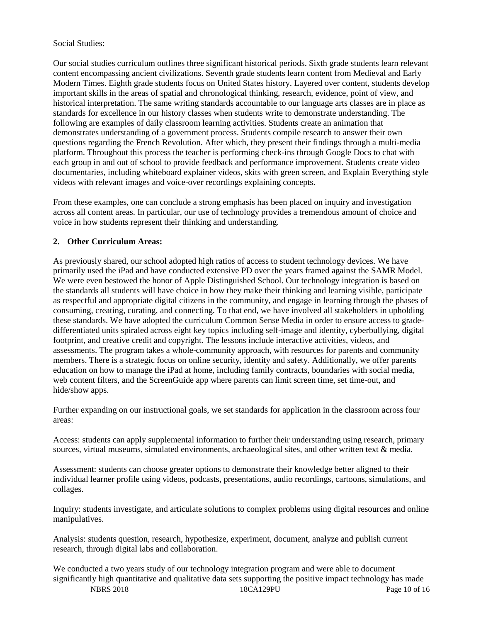# Social Studies:

Our social studies curriculum outlines three significant historical periods. Sixth grade students learn relevant content encompassing ancient civilizations. Seventh grade students learn content from Medieval and Early Modern Times. Eighth grade students focus on United States history. Layered over content, students develop important skills in the areas of spatial and chronological thinking, research, evidence, point of view, and historical interpretation. The same writing standards accountable to our language arts classes are in place as standards for excellence in our history classes when students write to demonstrate understanding. The following are examples of daily classroom learning activities. Students create an animation that demonstrates understanding of a government process. Students compile research to answer their own questions regarding the French Revolution. After which, they present their findings through a multi-media platform. Throughout this process the teacher is performing check-ins through Google Docs to chat with each group in and out of school to provide feedback and performance improvement. Students create video documentaries, including whiteboard explainer videos, skits with green screen, and Explain Everything style videos with relevant images and voice-over recordings explaining concepts.

From these examples, one can conclude a strong emphasis has been placed on inquiry and investigation across all content areas. In particular, our use of technology provides a tremendous amount of choice and voice in how students represent their thinking and understanding.

## **2. Other Curriculum Areas:**

As previously shared, our school adopted high ratios of access to student technology devices. We have primarily used the iPad and have conducted extensive PD over the years framed against the SAMR Model. We were even bestowed the honor of Apple Distinguished School. Our technology integration is based on the standards all students will have choice in how they make their thinking and learning visible, participate as respectful and appropriate digital citizens in the community, and engage in learning through the phases of consuming, creating, curating, and connecting. To that end, we have involved all stakeholders in upholding these standards. We have adopted the curriculum Common Sense Media in order to ensure access to gradedifferentiated units spiraled across eight key topics including self-image and identity, cyberbullying, digital footprint, and creative credit and copyright. The lessons include interactive activities, videos, and assessments. The program takes a whole-community approach, with resources for parents and community members. There is a strategic focus on online security, identity and safety. Additionally, we offer parents education on how to manage the iPad at home, including family contracts, boundaries with social media, web content filters, and the ScreenGuide app where parents can limit screen time, set time-out, and hide/show apps.

Further expanding on our instructional goals, we set standards for application in the classroom across four areas:

Access: students can apply supplemental information to further their understanding using research, primary sources, virtual museums, simulated environments, archaeological sites, and other written text & media.

Assessment: students can choose greater options to demonstrate their knowledge better aligned to their individual learner profile using videos, podcasts, presentations, audio recordings, cartoons, simulations, and collages.

Inquiry: students investigate, and articulate solutions to complex problems using digital resources and online manipulatives.

Analysis: students question, research, hypothesize, experiment, document, analyze and publish current research, through digital labs and collaboration.

NBRS 2018 18CA129PU Page 10 of 16 We conducted a two years study of our technology integration program and were able to document significantly high quantitative and qualitative data sets supporting the positive impact technology has made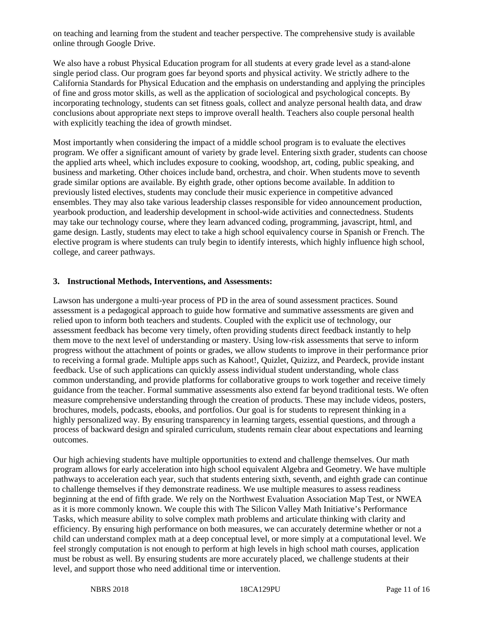on teaching and learning from the student and teacher perspective. The comprehensive study is available online through Google Drive.

We also have a robust Physical Education program for all students at every grade level as a stand-alone single period class. Our program goes far beyond sports and physical activity. We strictly adhere to the California Standards for Physical Education and the emphasis on understanding and applying the principles of fine and gross motor skills, as well as the application of sociological and psychological concepts. By incorporating technology, students can set fitness goals, collect and analyze personal health data, and draw conclusions about appropriate next steps to improve overall health. Teachers also couple personal health with explicitly teaching the idea of growth mindset.

Most importantly when considering the impact of a middle school program is to evaluate the electives program. We offer a significant amount of variety by grade level. Entering sixth grader, students can choose the applied arts wheel, which includes exposure to cooking, woodshop, art, coding, public speaking, and business and marketing. Other choices include band, orchestra, and choir. When students move to seventh grade similar options are available. By eighth grade, other options become available. In addition to previously listed electives, students may conclude their music experience in competitive advanced ensembles. They may also take various leadership classes responsible for video announcement production, yearbook production, and leadership development in school-wide activities and connectedness. Students may take our technology course, where they learn advanced coding, programming, javascript, html, and game design. Lastly, students may elect to take a high school equivalency course in Spanish or French. The elective program is where students can truly begin to identify interests, which highly influence high school, college, and career pathways.

#### **3. Instructional Methods, Interventions, and Assessments:**

Lawson has undergone a multi-year process of PD in the area of sound assessment practices. Sound assessment is a pedagogical approach to guide how formative and summative assessments are given and relied upon to inform both teachers and students. Coupled with the explicit use of technology, our assessment feedback has become very timely, often providing students direct feedback instantly to help them move to the next level of understanding or mastery. Using low-risk assessments that serve to inform progress without the attachment of points or grades, we allow students to improve in their performance prior to receiving a formal grade. Multiple apps such as Kahoot!, Quizlet, Quizizz, and Peardeck, provide instant feedback. Use of such applications can quickly assess individual student understanding, whole class common understanding, and provide platforms for collaborative groups to work together and receive timely guidance from the teacher. Formal summative assessments also extend far beyond traditional tests. We often measure comprehensive understanding through the creation of products. These may include videos, posters, brochures, models, podcasts, ebooks, and portfolios. Our goal is for students to represent thinking in a highly personalized way. By ensuring transparency in learning targets, essential questions, and through a process of backward design and spiraled curriculum, students remain clear about expectations and learning outcomes.

Our high achieving students have multiple opportunities to extend and challenge themselves. Our math program allows for early acceleration into high school equivalent Algebra and Geometry. We have multiple pathways to acceleration each year, such that students entering sixth, seventh, and eighth grade can continue to challenge themselves if they demonstrate readiness. We use multiple measures to assess readiness beginning at the end of fifth grade. We rely on the Northwest Evaluation Association Map Test, or NWEA as it is more commonly known. We couple this with The Silicon Valley Math Initiative's Performance Tasks, which measure ability to solve complex math problems and articulate thinking with clarity and efficiency. By ensuring high performance on both measures, we can accurately determine whether or not a child can understand complex math at a deep conceptual level, or more simply at a computational level. We feel strongly computation is not enough to perform at high levels in high school math courses, application must be robust as well. By ensuring students are more accurately placed, we challenge students at their level, and support those who need additional time or intervention.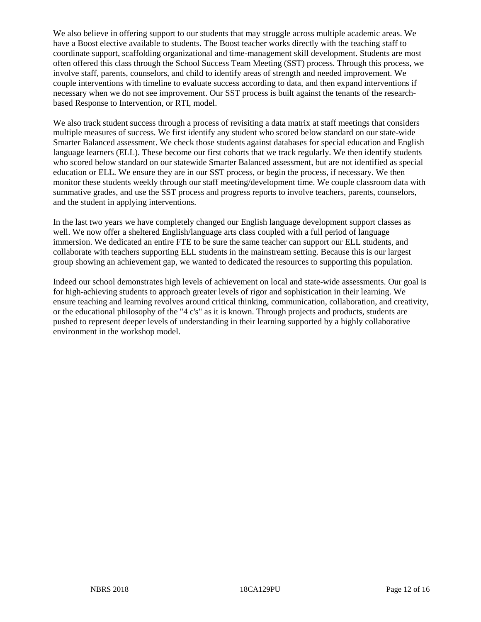We also believe in offering support to our students that may struggle across multiple academic areas. We have a Boost elective available to students. The Boost teacher works directly with the teaching staff to coordinate support, scaffolding organizational and time-management skill development. Students are most often offered this class through the School Success Team Meeting (SST) process. Through this process, we involve staff, parents, counselors, and child to identify areas of strength and needed improvement. We couple interventions with timeline to evaluate success according to data, and then expand interventions if necessary when we do not see improvement. Our SST process is built against the tenants of the researchbased Response to Intervention, or RTI, model.

We also track student success through a process of revisiting a data matrix at staff meetings that considers multiple measures of success. We first identify any student who scored below standard on our state-wide Smarter Balanced assessment. We check those students against databases for special education and English language learners (ELL). These become our first cohorts that we track regularly. We then identify students who scored below standard on our statewide Smarter Balanced assessment, but are not identified as special education or ELL. We ensure they are in our SST process, or begin the process, if necessary. We then monitor these students weekly through our staff meeting/development time. We couple classroom data with summative grades, and use the SST process and progress reports to involve teachers, parents, counselors, and the student in applying interventions.

In the last two years we have completely changed our English language development support classes as well. We now offer a sheltered English/language arts class coupled with a full period of language immersion. We dedicated an entire FTE to be sure the same teacher can support our ELL students, and collaborate with teachers supporting ELL students in the mainstream setting. Because this is our largest group showing an achievement gap, we wanted to dedicated the resources to supporting this population.

Indeed our school demonstrates high levels of achievement on local and state-wide assessments. Our goal is for high-achieving students to approach greater levels of rigor and sophistication in their learning. We ensure teaching and learning revolves around critical thinking, communication, collaboration, and creativity, or the educational philosophy of the "4 c's" as it is known. Through projects and products, students are pushed to represent deeper levels of understanding in their learning supported by a highly collaborative environment in the workshop model.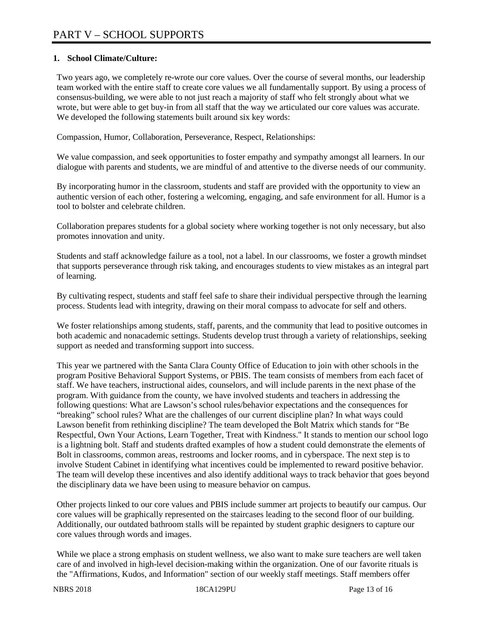# **1. School Climate/Culture:**

Two years ago, we completely re-wrote our core values. Over the course of several months, our leadership team worked with the entire staff to create core values we all fundamentally support. By using a process of consensus-building, we were able to not just reach a majority of staff who felt strongly about what we wrote, but were able to get buy-in from all staff that the way we articulated our core values was accurate. We developed the following statements built around six key words:

Compassion, Humor, Collaboration, Perseverance, Respect, Relationships:

We value compassion, and seek opportunities to foster empathy and sympathy amongst all learners. In our dialogue with parents and students, we are mindful of and attentive to the diverse needs of our community.

By incorporating humor in the classroom, students and staff are provided with the opportunity to view an authentic version of each other, fostering a welcoming, engaging, and safe environment for all. Humor is a tool to bolster and celebrate children.

Collaboration prepares students for a global society where working together is not only necessary, but also promotes innovation and unity.

Students and staff acknowledge failure as a tool, not a label. In our classrooms, we foster a growth mindset that supports perseverance through risk taking, and encourages students to view mistakes as an integral part of learning.

By cultivating respect, students and staff feel safe to share their individual perspective through the learning process. Students lead with integrity, drawing on their moral compass to advocate for self and others.

We foster relationships among students, staff, parents, and the community that lead to positive outcomes in both academic and nonacademic settings. Students develop trust through a variety of relationships, seeking support as needed and transforming support into success.

This year we partnered with the Santa Clara County Office of Education to join with other schools in the program Positive Behavioral Support Systems, or PBIS. The team consists of members from each facet of staff. We have teachers, instructional aides, counselors, and will include parents in the next phase of the program. With guidance from the county, we have involved students and teachers in addressing the following questions: What are Lawson's school rules/behavior expectations and the consequences for "breaking" school rules? What are the challenges of our current discipline plan? In what ways could Lawson benefit from rethinking discipline? The team developed the Bolt Matrix which stands for "Be Respectful, Own Your Actions, Learn Together, Treat with Kindness." It stands to mention our school logo is a lightning bolt. Staff and students drafted examples of how a student could demonstrate the elements of Bolt in classrooms, common areas, restrooms and locker rooms, and in cyberspace. The next step is to involve Student Cabinet in identifying what incentives could be implemented to reward positive behavior. The team will develop these incentives and also identify additional ways to track behavior that goes beyond the disciplinary data we have been using to measure behavior on campus.

Other projects linked to our core values and PBIS include summer art projects to beautify our campus. Our core values will be graphically represented on the staircases leading to the second floor of our building. Additionally, our outdated bathroom stalls will be repainted by student graphic designers to capture our core values through words and images.

While we place a strong emphasis on student wellness, we also want to make sure teachers are well taken care of and involved in high-level decision-making within the organization. One of our favorite rituals is the "Affirmations, Kudos, and Information" section of our weekly staff meetings. Staff members offer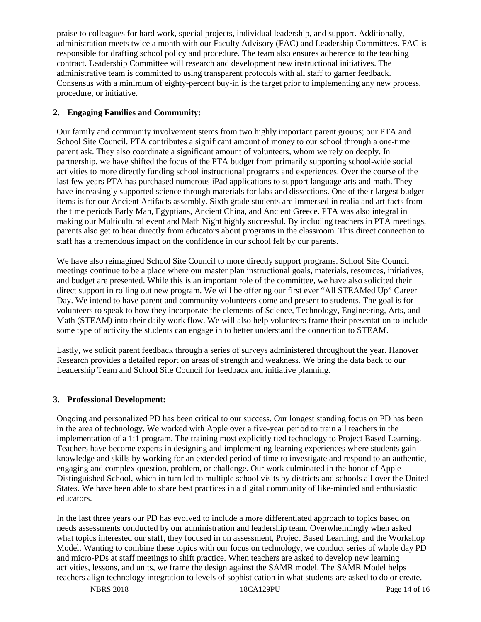praise to colleagues for hard work, special projects, individual leadership, and support. Additionally, administration meets twice a month with our Faculty Advisory (FAC) and Leadership Committees. FAC is responsible for drafting school policy and procedure. The team also ensures adherence to the teaching contract. Leadership Committee will research and development new instructional initiatives. The administrative team is committed to using transparent protocols with all staff to garner feedback. Consensus with a minimum of eighty-percent buy-in is the target prior to implementing any new process, procedure, or initiative.

# **2. Engaging Families and Community:**

Our family and community involvement stems from two highly important parent groups; our PTA and School Site Council. PTA contributes a significant amount of money to our school through a one-time parent ask. They also coordinate a significant amount of volunteers, whom we rely on deeply. In partnership, we have shifted the focus of the PTA budget from primarily supporting school-wide social activities to more directly funding school instructional programs and experiences. Over the course of the last few years PTA has purchased numerous iPad applications to support language arts and math. They have increasingly supported science through materials for labs and dissections. One of their largest budget items is for our Ancient Artifacts assembly. Sixth grade students are immersed in realia and artifacts from the time periods Early Man, Egyptians, Ancient China, and Ancient Greece. PTA was also integral in making our Multicultural event and Math Night highly successful. By including teachers in PTA meetings, parents also get to hear directly from educators about programs in the classroom. This direct connection to staff has a tremendous impact on the confidence in our school felt by our parents.

We have also reimagined School Site Council to more directly support programs. School Site Council meetings continue to be a place where our master plan instructional goals, materials, resources, initiatives, and budget are presented. While this is an important role of the committee, we have also solicited their direct support in rolling out new program. We will be offering our first ever "All STEAMed Up" Career Day. We intend to have parent and community volunteers come and present to students. The goal is for volunteers to speak to how they incorporate the elements of Science, Technology, Engineering, Arts, and Math (STEAM) into their daily work flow. We will also help volunteers frame their presentation to include some type of activity the students can engage in to better understand the connection to STEAM.

Lastly, we solicit parent feedback through a series of surveys administered throughout the year. Hanover Research provides a detailed report on areas of strength and weakness. We bring the data back to our Leadership Team and School Site Council for feedback and initiative planning.

# **3. Professional Development:**

Ongoing and personalized PD has been critical to our success. Our longest standing focus on PD has been in the area of technology. We worked with Apple over a five-year period to train all teachers in the implementation of a 1:1 program. The training most explicitly tied technology to Project Based Learning. Teachers have become experts in designing and implementing learning experiences where students gain knowledge and skills by working for an extended period of time to investigate and respond to an authentic, engaging and complex question, problem, or challenge. Our work culminated in the honor of Apple Distinguished School, which in turn led to multiple school visits by districts and schools all over the United States. We have been able to share best practices in a digital community of like-minded and enthusiastic educators.

In the last three years our PD has evolved to include a more differentiated approach to topics based on needs assessments conducted by our administration and leadership team. Overwhelmingly when asked what topics interested our staff, they focused in on assessment, Project Based Learning, and the Workshop Model. Wanting to combine these topics with our focus on technology, we conduct series of whole day PD and micro-PDs at staff meetings to shift practice. When teachers are asked to develop new learning activities, lessons, and units, we frame the design against the SAMR model. The SAMR Model helps teachers align technology integration to levels of sophistication in what students are asked to do or create.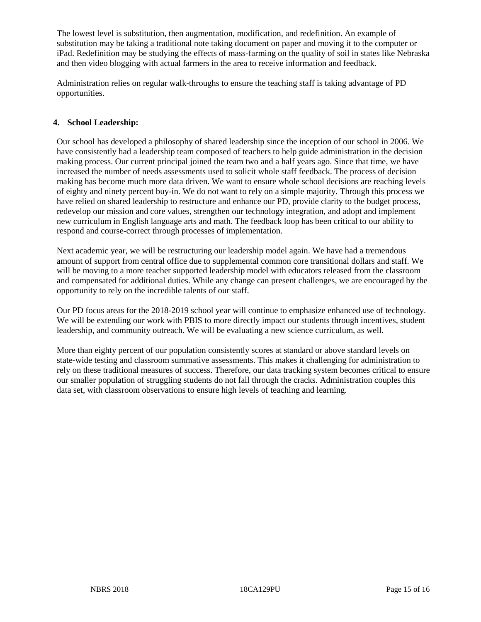The lowest level is substitution, then augmentation, modification, and redefinition. An example of substitution may be taking a traditional note taking document on paper and moving it to the computer or iPad. Redefinition may be studying the effects of mass-farming on the quality of soil in states like Nebraska and then video blogging with actual farmers in the area to receive information and feedback.

Administration relies on regular walk-throughs to ensure the teaching staff is taking advantage of PD opportunities.

# **4. School Leadership:**

Our school has developed a philosophy of shared leadership since the inception of our school in 2006. We have consistently had a leadership team composed of teachers to help guide administration in the decision making process. Our current principal joined the team two and a half years ago. Since that time, we have increased the number of needs assessments used to solicit whole staff feedback. The process of decision making has become much more data driven. We want to ensure whole school decisions are reaching levels of eighty and ninety percent buy-in. We do not want to rely on a simple majority. Through this process we have relied on shared leadership to restructure and enhance our PD, provide clarity to the budget process, redevelop our mission and core values, strengthen our technology integration, and adopt and implement new curriculum in English language arts and math. The feedback loop has been critical to our ability to respond and course-correct through processes of implementation.

Next academic year, we will be restructuring our leadership model again. We have had a tremendous amount of support from central office due to supplemental common core transitional dollars and staff. We will be moving to a more teacher supported leadership model with educators released from the classroom and compensated for additional duties. While any change can present challenges, we are encouraged by the opportunity to rely on the incredible talents of our staff.

Our PD focus areas for the 2018-2019 school year will continue to emphasize enhanced use of technology. We will be extending our work with PBIS to more directly impact our students through incentives, student leadership, and community outreach. We will be evaluating a new science curriculum, as well.

More than eighty percent of our population consistently scores at standard or above standard levels on state-wide testing and classroom summative assessments. This makes it challenging for administration to rely on these traditional measures of success. Therefore, our data tracking system becomes critical to ensure our smaller population of struggling students do not fall through the cracks. Administration couples this data set, with classroom observations to ensure high levels of teaching and learning.